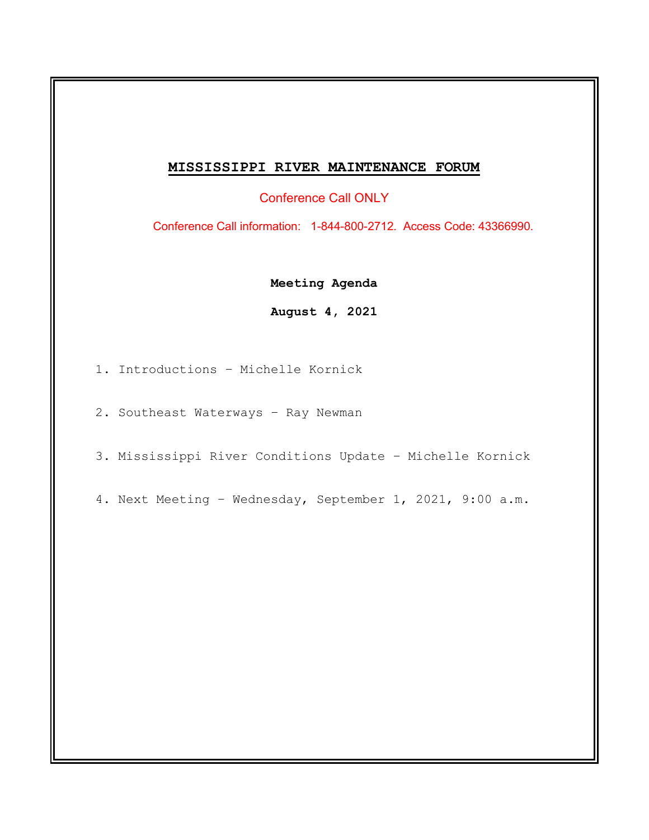## **MISSISSIPPI RIVER MAINTENANCE FORUM**

Conference Call ONLY

Conference Call information: 1-844-800-2712. Access Code: 43366990.

**Meeting Agenda**

**August 4, 2021**

- 1. Introductions Michelle Kornick
- 2. Southeast Waterways Ray Newman
- 3. Mississippi River Conditions Update Michelle Kornick
- 4. Next Meeting Wednesday, September 1, 2021, 9:00 a.m.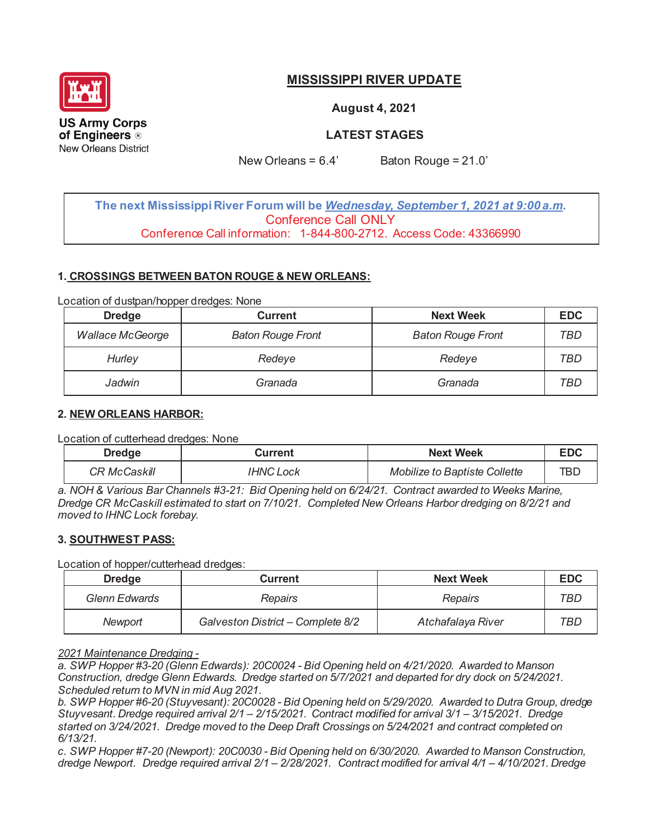

# **MISSISSIPPI RIVER UPDATE**

**August 4, 2021** 

**LATEST STAGES** 

New Orleans =  $6.4'$  Baton Rouge =  $21.0'$ 

**The next Mississippi River Forum will be** *Wednesday, September 1, 2021 at 9:00 a.m***.**  Conference Call ONLY Conference Call information: 1-844-800-2712. Access Code: 43366990

### **1. CROSSINGS BETWEEN BATON ROUGE & NEW ORLEANS:**

Location of dustpan/hopper dredges: None

| <b>Dredge</b>           | <b>Current</b>           | <b>Next Week</b>         | <b>EDC</b> |
|-------------------------|--------------------------|--------------------------|------------|
| <b>Wallace McGeorge</b> | <b>Baton Rouge Front</b> | <b>Baton Rouge Front</b> | TBD        |
| Hurley                  | Redeye                   | Redeye                   | TBD        |
| Jadwin                  | Granada                  | Granada                  | TBD        |

### **2. NEW ORLEANS HARBOR:**

Location of cutterhead dredges: None

| <b>Dredge</b> | Current          | <b>Next Week</b>                     | <b>EDC</b> |
|---------------|------------------|--------------------------------------|------------|
| CR McCaskill  | <b>IHNC Lock</b> | <b>Mobilize to Baptiste Collette</b> | TBI        |

*a. NOH & Various Bar Channels #3-21: Bid Opening held on 6/24/21. Contract awarded to Weeks Marine, Dredge CR McCaskill estimated to start on 7/10/21. Completed New Orleans Harbor dredging on 8/2/21 and moved to IHNC Lock forebay.*

### **3. SOUTHWEST PASS:**

Location of hopper/cutterhead dredges:

| <b>Dredge</b>        | <b>Current</b>                    | <b>Next Week</b>  | <b>EDC</b> |
|----------------------|-----------------------------------|-------------------|------------|
| <b>Glenn Edwards</b> | Repairs                           | Repairs           | TBD        |
| Newport              | Galveston District - Complete 8/2 | Atchafalaya River | TBD        |

### *2021 Maintenance Dredging -*

*a. SWP Hopper #3-20 (Glenn Edwards): 20C0024 - Bid Opening held on 4/21/2020. Awarded to Manson Construction, dredge Glenn Edwards. Dredge started on 5/7/2021 and departed for dry dock on 5/24/2021. Scheduled return to MVN in mid Aug 2021.*

*b. SWP Hopper #6-20 (Stuyvesant): 20C0028 - Bid Opening held on 5/29/2020. Awarded to Dutra Group, dredge Stuyvesant. Dredge required arrival 2/1 – 2/15/2021. Contract modified for arrival 3/1 – 3/15/2021. Dredge started on 3/24/2021. Dredge moved to the Deep Draft Crossings on 5/24/2021 and contract completed on 6/13/21.*

*c. SWP Hopper #7-20 (Newport): 20C0030 - Bid Opening held on 6/30/2020. Awarded to Manson Construction, dredge Newport. Dredge required arrival 2/1 – 2/28/2021. Contract modified for arrival 4/1 – 4/10/2021. Dredge*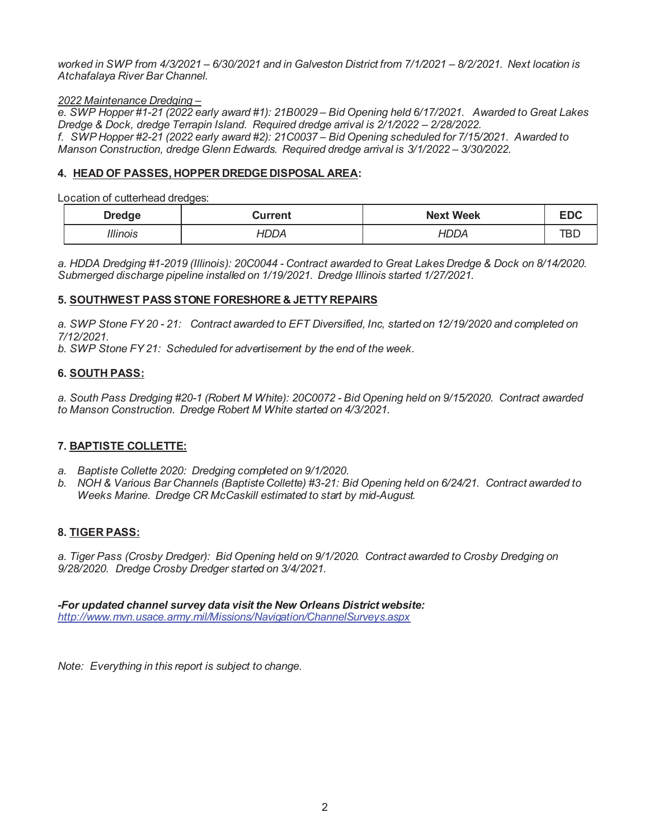*worked in SWP from 4/3/2021 – 6/30/2021 and in Galveston District from 7/1/2021 – 8/2/2021. Next location is Atchafalaya River Bar Channel.* 

### *2022 Maintenance Dredging –*

*e. SWP Hopper #1-21 (2022 early award #1): 21B0029 – Bid Opening held 6/17/2021. Awarded to Great Lakes Dredge & Dock, dredge Terrapin Island. Required dredge arrival is*  $2/1/2022 - 2/28/2022$ *. f. SWP Hopper #2-21 (2022 early award #2): 21C0037 – Bid Opening scheduled for 7/15/2021. Awarded to Manson Construction, dredge Glenn Edwards. Required dredge arrival is 3/1/2022 – 3/30/2022.* 

### **4. HEAD OF PASSES, HOPPER DREDGE DISPOSAL AREA:**

Location of cutterhead dredges:

| <b>Dredge</b> | Current | <b>Next Week</b> |  |
|---------------|---------|------------------|--|
| ''linois      |         |                  |  |

*a. HDDA Dredging #1-2019 (Illinois): 20C0044 - Contract awarded to Great Lakes Dredge & Dock on 8/14/2020. Submerged discharge pipeline installed on 1/19/2021. Dredge Illinois started 1/27/2021.* 

### **5. SOUTHWEST PASS STONE FORESHORE & JETTY REPAIRS**

*a. SWP Stone FY 20 - 21: Contract awarded to EFT Diversified, Inc, started on 12/19/2020 and completed on 7/12/2021.* 

*b. SWP Stone FY 21: Scheduled for advertisement by the end of the week.* 

### **6. SOUTH PASS:**

*a. South Pass Dredging #20-1 (Robert M White): 20C0072 - Bid Opening held on 9/15/2020. Contract awarded to Manson Construction. Dredge Robert M White started on 4/3/2021.* 

### **7. BAPTISTE COLLETTE:**

- *a. Baptiste Collette 2020: Dredging completed on 9/1/2020.*
- *b. NOH & Various Bar Channels (Baptiste Collette) #3-21: Bid Opening held on 6/24/21. Contract awarded to Weeks Marine. Dredge CR McCaskill estimated to start by mid-August.*

### **8. TIGER PASS:**

*a. Tiger Pass (Crosby Dredger): Bid Opening held on 9/1/2020. Contract awarded to Crosby Dredging on 9/28/2020. Dredge Crosby Dredger started on 3/4/2021.* 

*-For updated channel survey data visit the New Orleans District website: http://www.mvn.usace.army.mil/Missions/Navigation/ChannelSurveys.aspx* 

*Note: Everything in this report is subject to change.*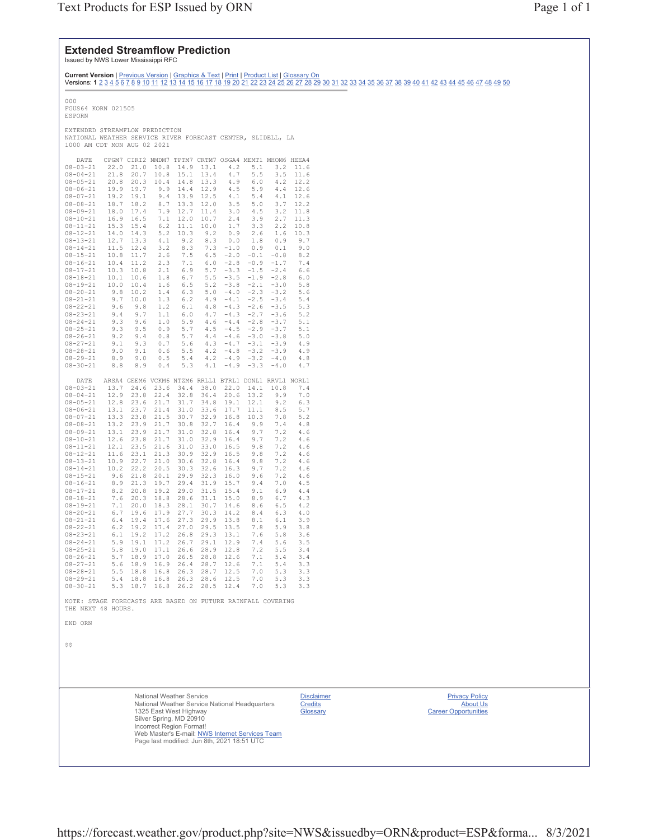### **Extended Streamflow Prediction**

Issued by NWS Lower Mississippi RFC

**Current Version** | <u>Previous Version | Graphics & Text | Print | Product List | Glossary On</u><br>Versions: **1** <u>2 3 4 5 6 7 8 9 10 11 12 13 14 15 16 17 18 19 20 21 22 23 24 25 26 27 28 29 30 31 32 33 34 35 36 37 38 39 40 41 4</u> 000 FGUS64 KORN 021505 ESPORN EXTENDED STREAMFLOW PREDICTION NATIONAL WEATHER SERVICE RIVER FORECAST CENTER, SLIDELL, LA 1000 AM CDT MON AUG 02 2021 DATE CPGM7 CIRI2 NMDM7 TPTM7 CRTM7 OSGA4 MEMT1 MHOM6 HEEA4

| ----                                                        | ---  | ----- | . .  | <b><i><u>++++++</u></i></b>                           |         |        | .                                               |        |      |
|-------------------------------------------------------------|------|-------|------|-------------------------------------------------------|---------|--------|-------------------------------------------------|--------|------|
| $08 - 03 - 21$                                              | 22.0 | 21.0  | 10.8 | 14.9                                                  | 13.1    | 4.2    | 5.1                                             | 3.2    | 11.6 |
| $08 - 04 - 21$                                              | 21.8 | 20.7  | 10.8 | 15.1                                                  | 13.4    | 4.7    | 5.5                                             | 3.5    | 11.6 |
|                                                             |      |       |      |                                                       |         |        |                                                 |        |      |
| $08 - 05 - 21$                                              | 20.8 | 20.3  | 10.4 | 14.8                                                  | 13.3    | 4.9    | 6.0                                             | 4.2    | 12.2 |
| $08 - 06 - 21$                                              | 19.9 | 19.7  | 9.9  | 14.4                                                  | 12.9    | 4.5    | 5.9                                             | 4.4    | 12.6 |
|                                                             |      |       |      |                                                       |         |        |                                                 |        |      |
| $08 - 07 - 21$                                              | 19.2 | 19.1  | 9.4  | 13.9                                                  | 12.5    | 4.1    | 5.4                                             | 4.1    | 12.6 |
| $08 - 08 - 21$                                              | 18.7 | 18.2  | 8.7  | 13.3                                                  | 12.0    | 3.5    | 5.0                                             | 3.7    | 12.2 |
|                                                             |      |       |      |                                                       |         |        |                                                 |        |      |
| $08 - 09 - 21$                                              | 18.0 | 17.4  | 7.9  | 12.7                                                  | 11.4    | 3.0    | 4.5                                             | 3.2    | 11.8 |
|                                                             | 16.9 | 16.5  | 7.1  | 12.0                                                  | 10.7    | 2.4    | 3.9                                             | 2.7    | 11.3 |
| $08 - 10 - 21$                                              |      |       |      |                                                       |         |        |                                                 |        |      |
| $08 - 11 - 21$                                              | 15.3 | 15.4  | 6.2  | 11.1                                                  | 10.0    | 1.7    | 3.3                                             | 2.2    | 10.8 |
| $08 - 12 - 21$                                              | 14.0 | 14.3  | 5.2  | 10.3                                                  | 9.2     | 0.9    | 2.6                                             | 1.6    | 10.3 |
|                                                             |      |       |      |                                                       |         |        |                                                 |        |      |
| $08 - 13 - 21$                                              | 12.7 | 13.3  | 4.1  | 9.2                                                   | 8.3     | 0.0    | 1.8                                             | 0.9    | 9.7  |
| $08 - 14 - 21$                                              | 11.5 | 12.4  | 3.2  | 8.3                                                   | 7.3     | $-1.0$ | 0.9                                             | 0.1    | 9.0  |
|                                                             |      |       |      |                                                       |         |        |                                                 |        |      |
| $08 - 15 - 21$                                              | 10.8 | 11.7  | 2.6  | 7.5                                                   | 6.5     | $-2.0$ | $-0.1$                                          | $-0.8$ | 8.2  |
| $08 - 16 - 21$                                              | 10.4 | 11.2  | 2.3  | 7.1                                                   | 6.0     | $-2.8$ | $-0.9$                                          | $-1.7$ | 7.4  |
|                                                             |      |       |      |                                                       |         |        |                                                 |        |      |
| $08 - 17 - 21$                                              | 10.3 | 10.8  | 2.1  | 6.9                                                   | 5.7     | $-3.3$ | $-1.5$                                          | $-2.4$ | 6.6  |
| $08 - 18 - 21$                                              | 10.1 | 10.6  | 1.8  | $6.7$                                                 | 5.5     | $-3.5$ | $\mathord{\text{--}} 1$ . $\mathord{\text{--}}$ | $-2.8$ | 6.0  |
|                                                             |      |       |      |                                                       |         |        |                                                 |        |      |
| $08 - 19 - 21$                                              | 10.0 | 10.4  | 1.6  | 6.5                                                   | 5.2     | $-3.8$ | $-2.1$                                          | $-3.0$ | 5.8  |
| $08 - 20 - 21$                                              | 9.8  | 10.2  | 1.4  | 6.3                                                   | 5.0     | $-4.0$ | $-2.3$                                          | $-3.2$ | 5.6  |
|                                                             |      |       |      |                                                       |         |        |                                                 |        |      |
| $08 - 21 - 21$                                              | 9.7  | 10.0  | 1.3  | 6.2                                                   | 4.9     | $-4.1$ | $-2.5$                                          | $-3.4$ | 5.4  |
| $08 - 22 - 21$                                              | 9.6  | 9.8   | 1.2  | 6.1                                                   | 4.8     | $-4.3$ | $-2.6$                                          | $-3.5$ | 5.3  |
|                                                             |      |       |      |                                                       |         |        |                                                 |        |      |
| $08 - 23 - 21$                                              | 9.4  | 9.7   | 1.1  | 6.0                                                   | 4.7     | $-4.3$ | $-2.7$                                          | $-3.6$ | 5.2  |
| $08 - 24 - 21$                                              | 9.3  | 9.6   | 1.0  | 5.9                                                   | 4.6     | $-4.4$ | $-2.8$                                          | $-3.7$ | 5.1  |
|                                                             |      |       |      |                                                       |         |        |                                                 |        |      |
| $08 - 25 - 21$                                              | 9.3  | 9.5   | 0.9  | 5.7                                                   | $4\,.5$ | $-4.5$ | $-2.9$                                          | $-3.7$ | 5.1  |
| $08 - 26 - 21$                                              | 9.2  | 9.4   | 0.8  | 5.7                                                   | 4.4     | $-4.6$ | $-3.0$                                          | $-3.8$ | 5.0  |
|                                                             |      |       |      |                                                       |         |        |                                                 |        |      |
| $08 - 27 - 21$                                              | 9.1  | 9.3   | 0.7  | 5.6                                                   | 4.3     | $-4.7$ | $-3.1$                                          | $-3.9$ | 4.9  |
| $08 - 28 - 21$                                              | 9.0  | 9.1   | 0.6  | 5.5                                                   | 4.2     | $-4.8$ | $-3.2$                                          | $-3.9$ | 4.9  |
| $08 - 29 - 21$                                              | 8.9  | 9.0   | 0.5  | 5.4                                                   | 4.2     | $-4.9$ |                                                 |        | 4.8  |
|                                                             |      |       |      |                                                       |         |        | $-3.2$                                          | $-4.0$ |      |
| $08 - 30 - 21$                                              | 8.8  | 8.9   | 0.4  | 5.3                                                   | 4.1     | $-4.9$ | $-3.3$                                          | $-4.0$ | 4.7  |
|                                                             |      |       |      |                                                       |         |        |                                                 |        |      |
|                                                             |      |       |      |                                                       |         |        |                                                 |        |      |
| DATE                                                        |      |       |      | ARSA4 GEEM6 VCKM6 NTZM6 RRLL1 BTRL1 DONL1 RRVL1 NORL1 |         |        |                                                 |        |      |
| $08 - 03 - 21$                                              | 13.7 | 24.6  | 23.6 | 34.4                                                  | 38.0    | 22.0   | 14.1                                            | 10.8   | 7.4  |
|                                                             |      |       |      |                                                       |         |        |                                                 |        |      |
| $08 - 04 - 21$                                              | 12.9 | 23.8  | 22.4 | 32.8                                                  | 36.4    | 20.6   | 13.2                                            | 9.9    | 7.0  |
| $08 - 05 - 21$                                              | 12.8 | 23.6  | 21.7 | 31.7                                                  | 34.8    | 19.1   | 12.1                                            | 9.2    | 6.3  |
|                                                             |      |       |      |                                                       |         |        |                                                 |        |      |
| $08 - 06 - 21$                                              | 13.1 | 23.7  | 21.4 | 31.0                                                  | 33.6    | 17.7   | 11.1                                            | 8.5    | 5.7  |
| $08 - 07 - 21$                                              | 13.3 | 23.8  | 21.5 | 30.7                                                  | 32.9    | 16.8   | 10.3                                            | 7.8    | 5.2  |
|                                                             |      |       |      |                                                       |         |        |                                                 |        |      |
| $08 - 08 - 21$                                              | 13.2 | 23.9  | 21.7 | 30.8                                                  | 32.7    | 16.4   | 9.9                                             | 7.4    | 4.8  |
| $08 - 09 - 21$                                              | 13.1 | 23.9  | 21.7 | 31.0                                                  | 32.8    | 16.4   | 9.7                                             | 7.2    | 4.6  |
|                                                             |      |       |      |                                                       |         |        |                                                 |        |      |
| $08 - 10 - 21$                                              | 12.6 | 23.8  | 21.7 | 31.0                                                  | 32.9    | 16.4   | 9.7                                             | 7.2    | 4.6  |
| $08 - 11 - 21$                                              | 12.1 | 23.5  | 21.6 | 31.0                                                  | 33.0    | 16.5   | 9.8                                             | 7.2    | 4.6  |
|                                                             |      |       |      |                                                       |         |        |                                                 |        |      |
| $08 - 12 - 21$                                              | 11.6 | 23.1  | 21.3 | 30.9                                                  | 32.9    | 16.5   | 9.8                                             | 7.2    | 4.6  |
| $08 - 13 - 21$                                              | 10.9 | 22.7  | 21.0 | 30.6                                                  | 32.8    | 16.4   | 9.8                                             | 7.2    | 4.6  |
| $08 - 14 - 21$                                              | 10.2 | 22.2  | 20.5 | 30.3                                                  | 32.6    | 16.3   | 9.7                                             | 7.2    | 4.6  |
|                                                             |      |       |      |                                                       |         |        |                                                 |        |      |
| $08 - 15 - 21$                                              | 9.6  | 21.8  | 20.1 | 29.9                                                  | 32.3    | 16.0   | 9.6                                             | 7.2    | 4.6  |
| $08 - 16 - 21$                                              | 8.9  | 21.3  | 19.7 | 29.4                                                  | 31.9    | 15.7   | 9.4                                             | 7.0    | 4.5  |
|                                                             |      |       |      |                                                       |         |        |                                                 |        |      |
| $08 - 17 - 21$                                              | 8.2  | 20.8  | 19.2 | 29.0                                                  | 31.5    | 15.4   | 9.1                                             | 6.9    | 4.4  |
| $08 - 18 - 21$                                              | 7.6  | 20.3  | 18.8 | 28.6                                                  | 31.1    | 15.0   | 8.9                                             | 6.7    | 4.3  |
|                                                             |      |       |      |                                                       |         |        |                                                 |        |      |
| $08 - 19 - 21$                                              | 7.1  | 20.0  | 18.3 | 28.1                                                  | 30.7    | 14.6   | 8.6                                             | 6.5    | 4.2  |
| $08 - 20 - 21$                                              | 6.7  | 19.6  | 17.9 | 27.7                                                  | 30.3    | 14.2   | 8.4                                             | 6.3    | 4.0  |
|                                                             |      |       |      |                                                       |         |        |                                                 |        |      |
| $08 - 21 - 21$                                              | 6.4  | 19.4  | 17.6 | 27.3                                                  | 29.9    | 13.8   | 8.1                                             | 6.1    | 3.9  |
| $08 - 22 - 21$                                              | 6.2  | 19.2  | 17.4 | 27.0                                                  | 29.5    | 13.5   | 7.8                                             | 5.9    | 3.8  |
|                                                             |      |       |      |                                                       |         |        |                                                 |        |      |
| $08 - 23 - 21$                                              | 6.1  | 19.2  | 17.2 | 26.8                                                  | 29.3    | 13.1   | 7.6                                             | 5.8    | 3.6  |
| $08 - 24 - 21$                                              | 5.9  | 19.1  | 17.2 | 26.7                                                  | 29.1    | 12.9   | 7.4                                             | 5.6    | 3.5  |
|                                                             |      |       |      |                                                       |         |        |                                                 |        |      |
| $08 - 25 - 21$                                              | 5.8  | 19.0  | 17.1 | 26.6                                                  | 28.9    | 12.8   | 7.2                                             | 5.5    | 3.4  |
| $08 - 26 - 21$                                              | 5.7  | 18.9  | 17.0 | 26.5                                                  | 28.8    | 12.6   | 7.1                                             | 5.4    | 3.4  |
|                                                             |      |       |      |                                                       |         |        |                                                 |        |      |
| $08 - 27 - 21$                                              | 5.6  | 18.9  | 16.9 | 26.4                                                  | 28.7    | 12.6   | 7.1                                             | 5.4    | 3.3  |
| $08 - 28 - 21$                                              | 5.5  | 18.8  | 16.8 | 26.3                                                  | 28.7    | 12.5   | 7.0                                             | 5.3    | 3.3  |
| $08 - 29 - 21$                                              | 5.4  | 18.8  | 16.8 | 26.3                                                  | 28.6    | 12.5   | 7.0                                             | 5.3    | 3.3  |
|                                                             |      |       |      |                                                       |         |        |                                                 |        |      |
| $08 - 30 - 21$                                              | 5.3  | 18.7  | 16.8 | 26.2                                                  | 28.5    | 12.4   | 7.0                                             | 5.3    | 3.3  |
|                                                             |      |       |      |                                                       |         |        |                                                 |        |      |
|                                                             |      |       |      |                                                       |         |        |                                                 |        |      |
| NOTE: STAGE FORECASTS ARE BASED ON FUTURE RAINFALL COVERING |      |       |      |                                                       |         |        |                                                 |        |      |

THE NEXT 48 HOURS.

```
END ORN
```
 $$S$ 

National Weather Service National Weather Service National Headquarters 1325 East West Highway Silver Spring, MD 20910<br>Incorrect Region Format!<br>Web Master's E-mail: <u>NWS Internet Services Team</u> Page last modified: Jun 8th, 2021 18:51 UTC

**Disclaimer** Credits Glossary

**Privacy Policy** About Us Career Opportunities